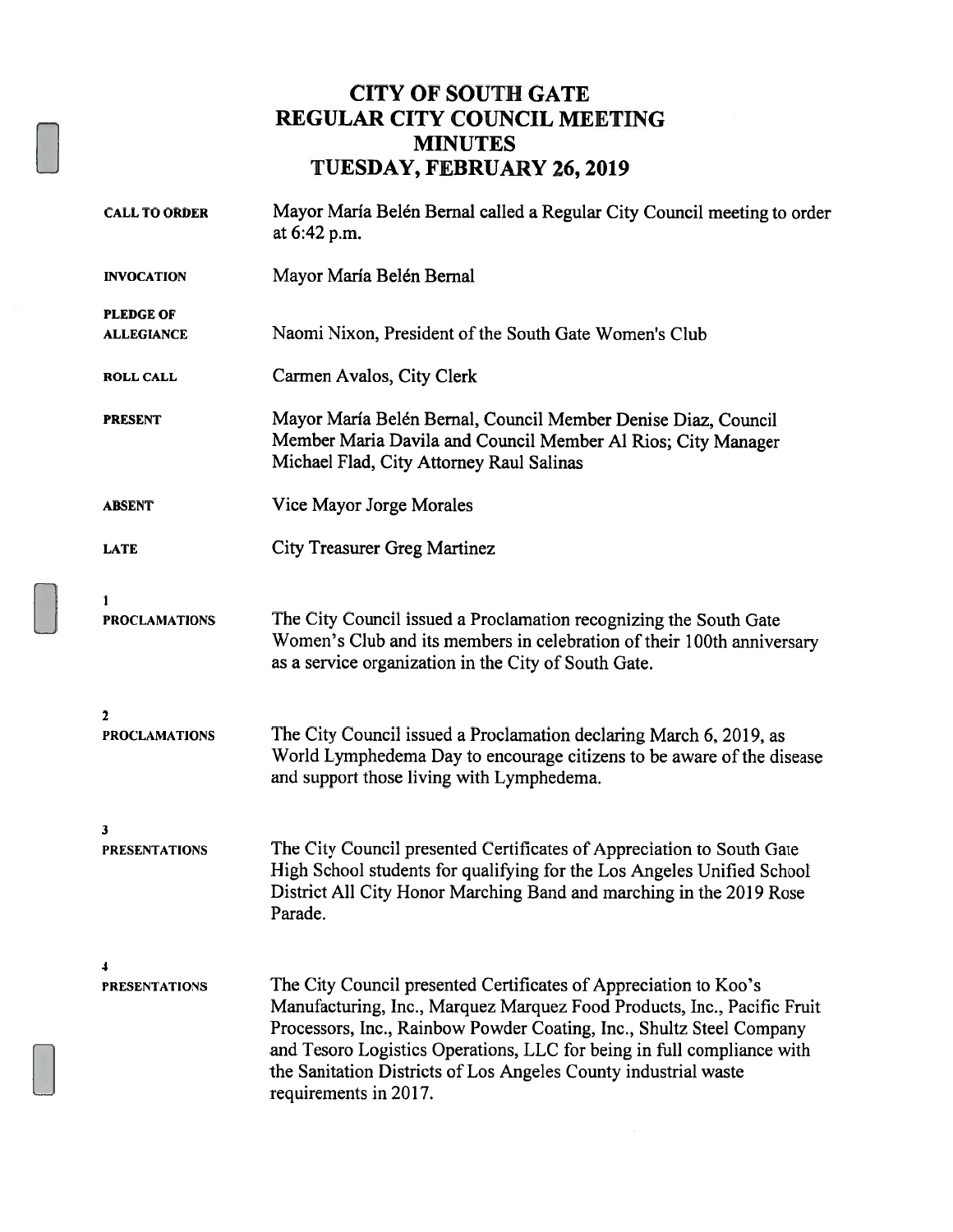### CITY OF SOUTH GATE REGULAR CITY COUNCIL MEETING MINUTES TUESDAY, FEBRUARY 26, 2019

| <b>CALL TO ORDER</b>                  | Mayor María Belén Bernal called a Regular City Council meeting to order<br>at 6:42 p.m.                                                                                                                                                                                                                                                                                                   |
|---------------------------------------|-------------------------------------------------------------------------------------------------------------------------------------------------------------------------------------------------------------------------------------------------------------------------------------------------------------------------------------------------------------------------------------------|
| <b>INVOCATION</b>                     | Mayor María Belén Bernal                                                                                                                                                                                                                                                                                                                                                                  |
| <b>PLEDGE OF</b><br><b>ALLEGIANCE</b> | Naomi Nixon, President of the South Gate Women's Club                                                                                                                                                                                                                                                                                                                                     |
| <b>ROLL CALL</b>                      | Carmen Avalos, City Clerk                                                                                                                                                                                                                                                                                                                                                                 |
| <b>PRESENT</b>                        | Mayor María Belén Bernal, Council Member Denise Diaz, Council<br>Member Maria Davila and Council Member Al Rios; City Manager<br>Michael Flad, City Attorney Raul Salinas                                                                                                                                                                                                                 |
| <b>ABSENT</b>                         | Vice Mayor Jorge Morales                                                                                                                                                                                                                                                                                                                                                                  |
| <b>LATE</b>                           | <b>City Treasurer Greg Martinez</b>                                                                                                                                                                                                                                                                                                                                                       |
| 1<br><b>PROCLAMATIONS</b>             | The City Council issued a Proclamation recognizing the South Gate<br>Women's Club and its members in celebration of their 100th anniversary<br>as a service organization in the City of South Gate.                                                                                                                                                                                       |
| 2<br><b>PROCLAMATIONS</b>             | The City Council issued a Proclamation declaring March 6, 2019, as<br>World Lymphedema Day to encourage citizens to be aware of the disease<br>and support those living with Lymphedema.                                                                                                                                                                                                  |
| 3<br><b>PRESENTATIONS</b>             | The City Council presented Certificates of Appreciation to South Gate<br>High School students for qualifying for the Los Angeles Unified School<br>District All City Honor Marching Band and marching in the 2019 Rose<br>Parade.                                                                                                                                                         |
| <b>PRESENTATIONS</b>                  | The City Council presented Certificates of Appreciation to Koo's<br>Manufacturing, Inc., Marquez Marquez Food Products, Inc., Pacific Fruit<br>Processors, Inc., Rainbow Powder Coating, Inc., Shultz Steel Company<br>and Tesoro Logistics Operations, LLC for being in full compliance with<br>the Sanitation Districts of Los Angeles County industrial waste<br>requirements in 2017. |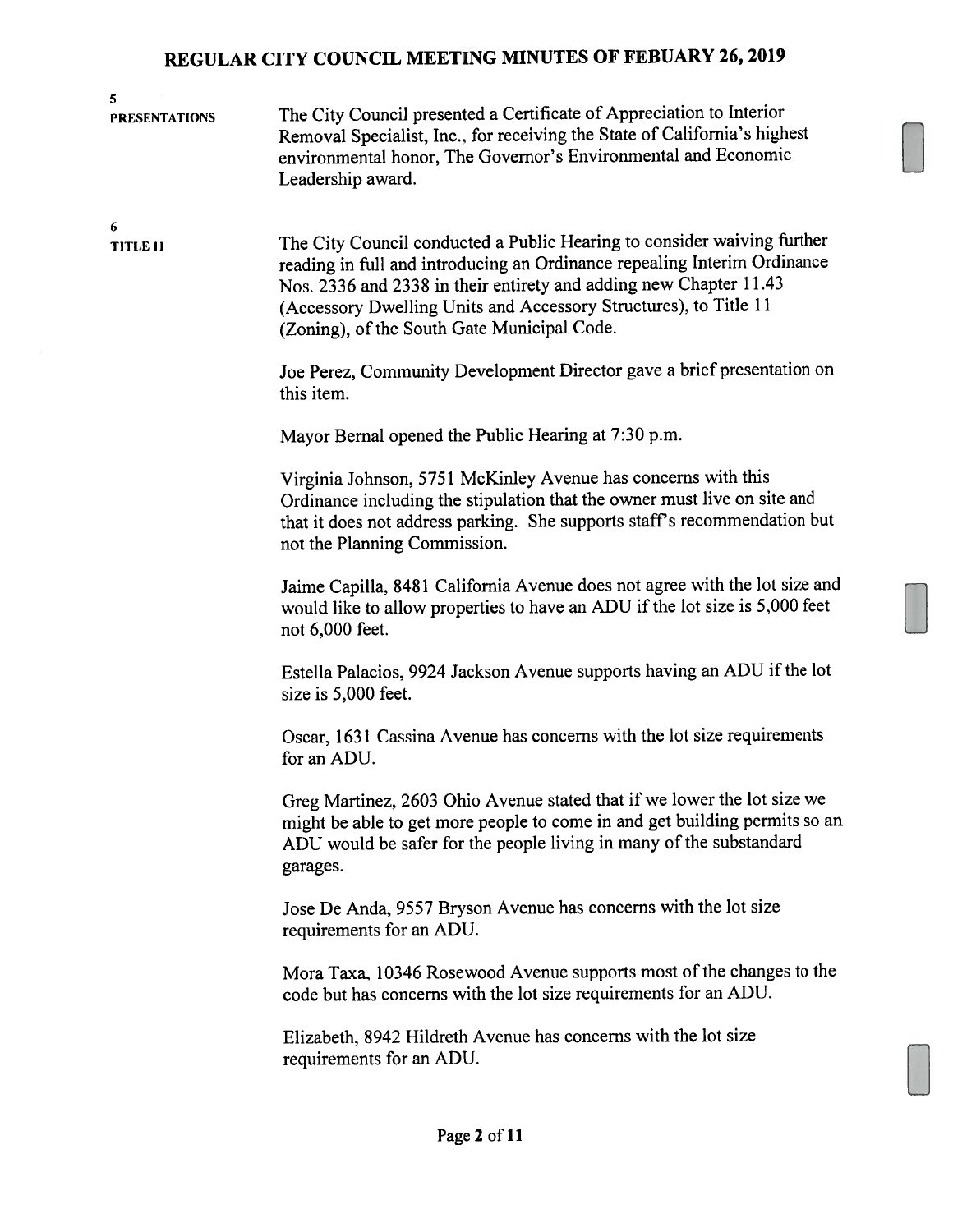| 5<br><b>PRESENTATIONS</b> | The City Council presented a Certificate of Appreciation to Interior<br>Removal Specialist, Inc., for receiving the State of California's highest<br>environmental honor, The Governor's Environmental and Economic<br>Leadership award.                                                                                                    |
|---------------------------|---------------------------------------------------------------------------------------------------------------------------------------------------------------------------------------------------------------------------------------------------------------------------------------------------------------------------------------------|
| 6<br>TITLE 11             | The City Council conducted a Public Hearing to consider waiving further<br>reading in full and introducing an Ordinance repealing Interim Ordinance<br>Nos. 2336 and 2338 in their entirety and adding new Chapter 11.43<br>(Accessory Dwelling Units and Accessory Structures), to Title 11<br>(Zoning), of the South Gate Municipal Code. |
|                           | Joe Perez, Community Development Director gave a brief presentation on<br>this item.                                                                                                                                                                                                                                                        |
|                           | Mayor Bernal opened the Public Hearing at 7:30 p.m.                                                                                                                                                                                                                                                                                         |
|                           | Virginia Johnson, 5751 McKinley Avenue has concerns with this<br>Ordinance including the stipulation that the owner must live on site and<br>that it does not address parking. She supports staff's recommendation but<br>not the Planning Commission.                                                                                      |
|                           | Jaime Capilla, 8481 California Avenue does not agree with the lot size and<br>would like to allow properties to have an ADU if the lot size is 5,000 feet<br>not 6,000 feet.                                                                                                                                                                |
|                           | Estella Palacios, 9924 Jackson Avenue supports having an ADU if the lot<br>size is 5,000 feet.                                                                                                                                                                                                                                              |
|                           | Oscar, 1631 Cassina Avenue has concerns with the lot size requirements<br>for an ADU.                                                                                                                                                                                                                                                       |
|                           | Greg Martinez, 2603 Ohio Avenue stated that if we lower the lot size we<br>might be able to get more people to come in and get building permits so an<br>ADU would be safer for the people living in many of the substandard<br>garages.                                                                                                    |
|                           | Jose De Anda, 9557 Bryson Avenue has concerns with the lot size<br>requirements for an ADU.                                                                                                                                                                                                                                                 |
|                           | Mora Taxa, 10346 Rosewood Avenue supports most of the changes to the<br>code but has concerns with the lot size requirements for an ADU.                                                                                                                                                                                                    |
|                           | Elizabeth, 8942 Hildreth Avenue has concerns with the lot size<br>requirements for an ADU.                                                                                                                                                                                                                                                  |
|                           |                                                                                                                                                                                                                                                                                                                                             |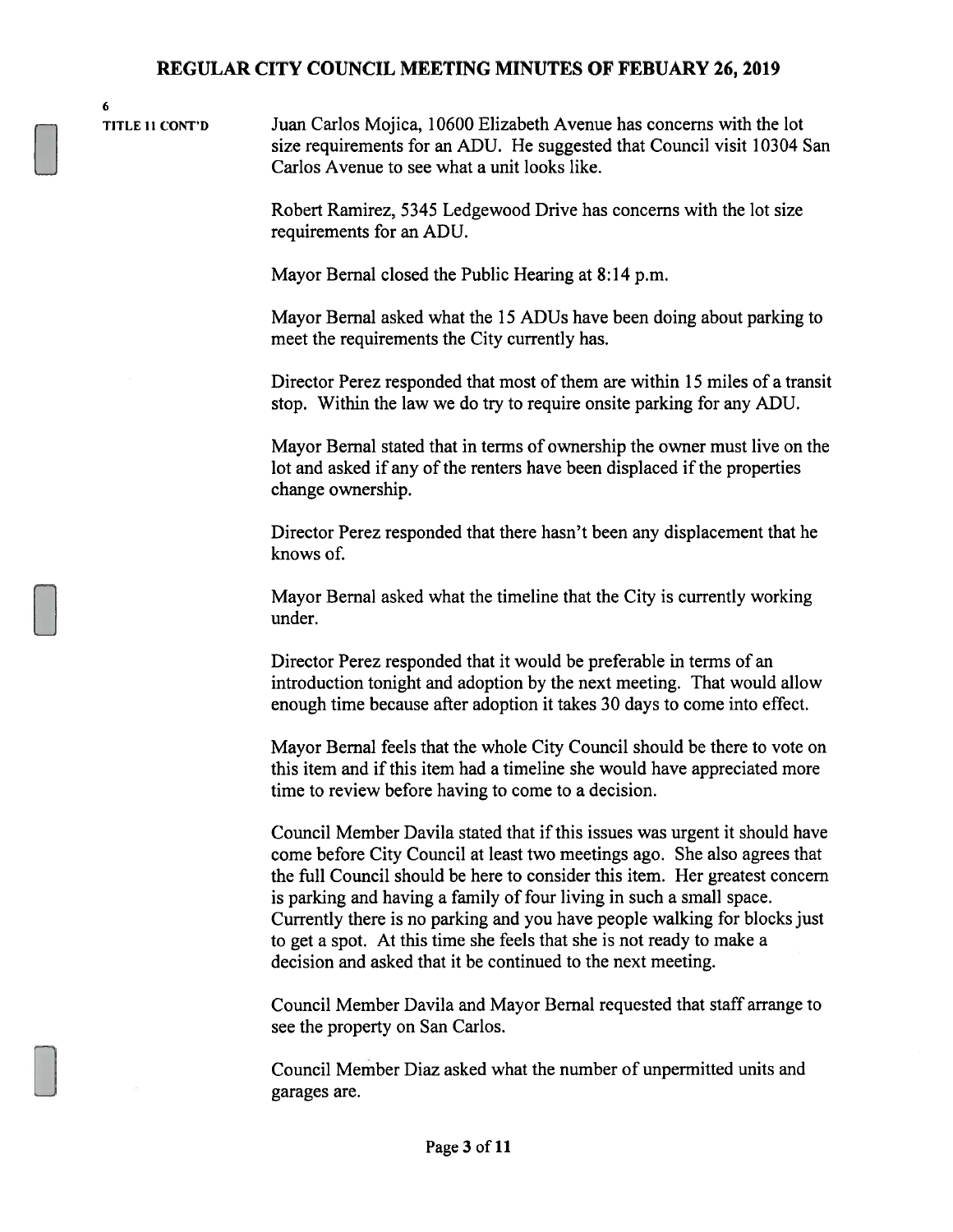6

TITLE II CONT'D Juan Carlos Mojica, 10600 Elizabeth Avenue has concerns with the lot size requirements for an ADU. He suggested that Council visit 10304 San Carlos Avenue to see what a unit looks like.

> Robert Ramirez, 5345 Ledgewood Drive has concerns with the lot size requirements for an ADU.

Mayor Bernal closed the Public Hearing at 8:14 p.m.

Mayor Bernal asked what the 15 ADUs have been doing about parking to meet the requirements the City currently has.

Director Perez responded that most of them are within 15 miles of a transit stop. Within the law we do try to require onsite parking for any ADU.

Mayor Bernal stated that in terms of ownership the owner must live on the lot and asked if any of the renters have been displaced if the properties change ownership.

Director Perez responded that there hasn't been any displacement that he knows of.

Mayor Bernal asked what the timeline that the City is currently working under.

Director Perez responded that it would be preferable in terms of an introduction tonight and adoption by the next meeting. That would allow enough time because after adoption it takes 30 days to come into effect.

Mayor Bernal feels that the whole City Council should be there to vote on this item and if this item had a timeline she would have appreciated more time to review before having to come to a decision.

Council Member Davila stated that if this issues was urgent it should have come before City Council at least two meetings ago. She also agrees that the full Council should be here to consider this item. Her greatest concern is parking and having a family of four living in such a small space. Currently there is no parking and you have people walking for blocks just to get a spot. At this time she feels that she is not ready to make a decision and asked that it be continued to the next meeting.

Council Member Davila and Mayor Bernal requested that staff arrange to see the property on San Carlos.

Council Member Diaz asked what the number of unpermitted units and garages are.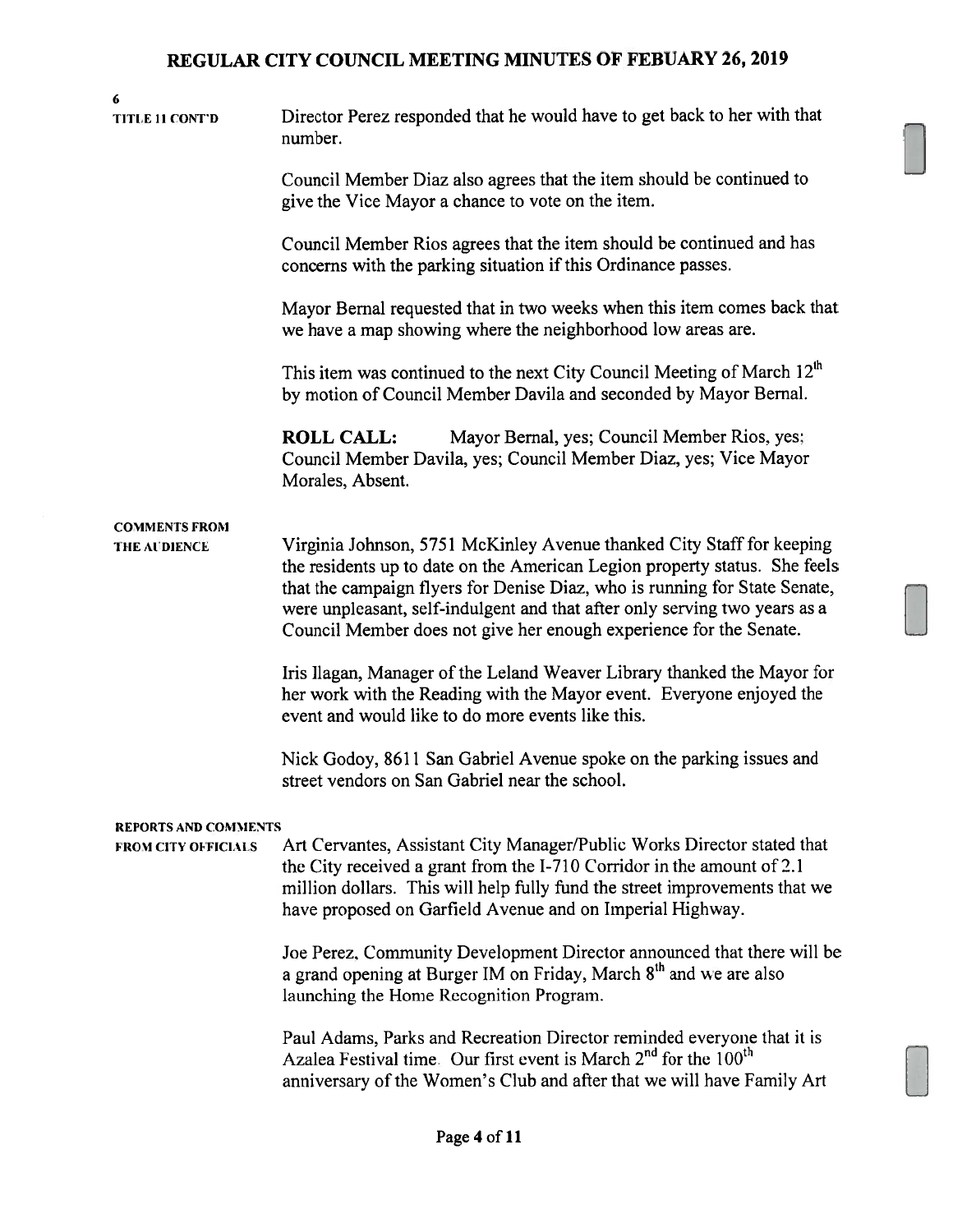6 TITLE 11 CONT'D Director Perez responded that he would have to get back to her with that number. Council Member Diaz also agrees that the item should he continued to give the Vice Mayor a chance to vote on the item. Council Member Rios agrees that the item should be continued and has concerns with the parking situation if this Ordinance passes. Mayor Bernal requested that in two weeks when this item comes back that we have a map showing where the neighborhood low areas are. This item was continued to the next City Council Meeting of March  $12<sup>th</sup>$ by motion of Council Member Davila and seconded by Mayor Bemal. ROLL CALL: Mayor Bernal, yes; Council Member Rios, yes Council Member Davila, yes; Council Member Diaz, yes; Vice Mayor Morales, Absent. COMMENTS FROM THE AUDIENCE Virginia Johnson, 5751 McKinley Avenue thanked City Staff for keeping the residents up to date on the American Legion property status. She feels that the campaign flyers for Denise Diaz, who is running for State Senate, were unpleasant, self-indulgent and that after only serving two years as a Council Member does not give her enough experience for the Senate. Iris Ilagan, Manager of the Leland Weaver Library thanked the Mayor for her work with the Reading with the Mayor event. Everyone enjoyed the event and would like to do more events like this. Nick Godoy, 8611 San Gabriel Avenue spoke on the parking issues and street vendors on San Gabriel near the school. REPORTS AND COMMENTS FROM CITY OFFICIAlS Art Cervantes, Assistant City Manager/Public Works Director stated that the City received a grant from the 1-710 Corridor in the amount of 2.1 million dollars. This will help fully fund the street improvements that we have proposed on Garfield Avenue and on Imperial Highway. Joe Perez, Community Development Director announced that there will be a grand opening at Burger IM on Friday, March 8<sup>th</sup> and we are also launching the Home Recognition Program.

Paul Adams, Parks and Recreation Director reminded everyone that it is Azalea Festival time. Our first event is March  $2<sup>nd</sup>$  for the 100<sup>th</sup> anniversary of the Women's Club and after that we will have Family Art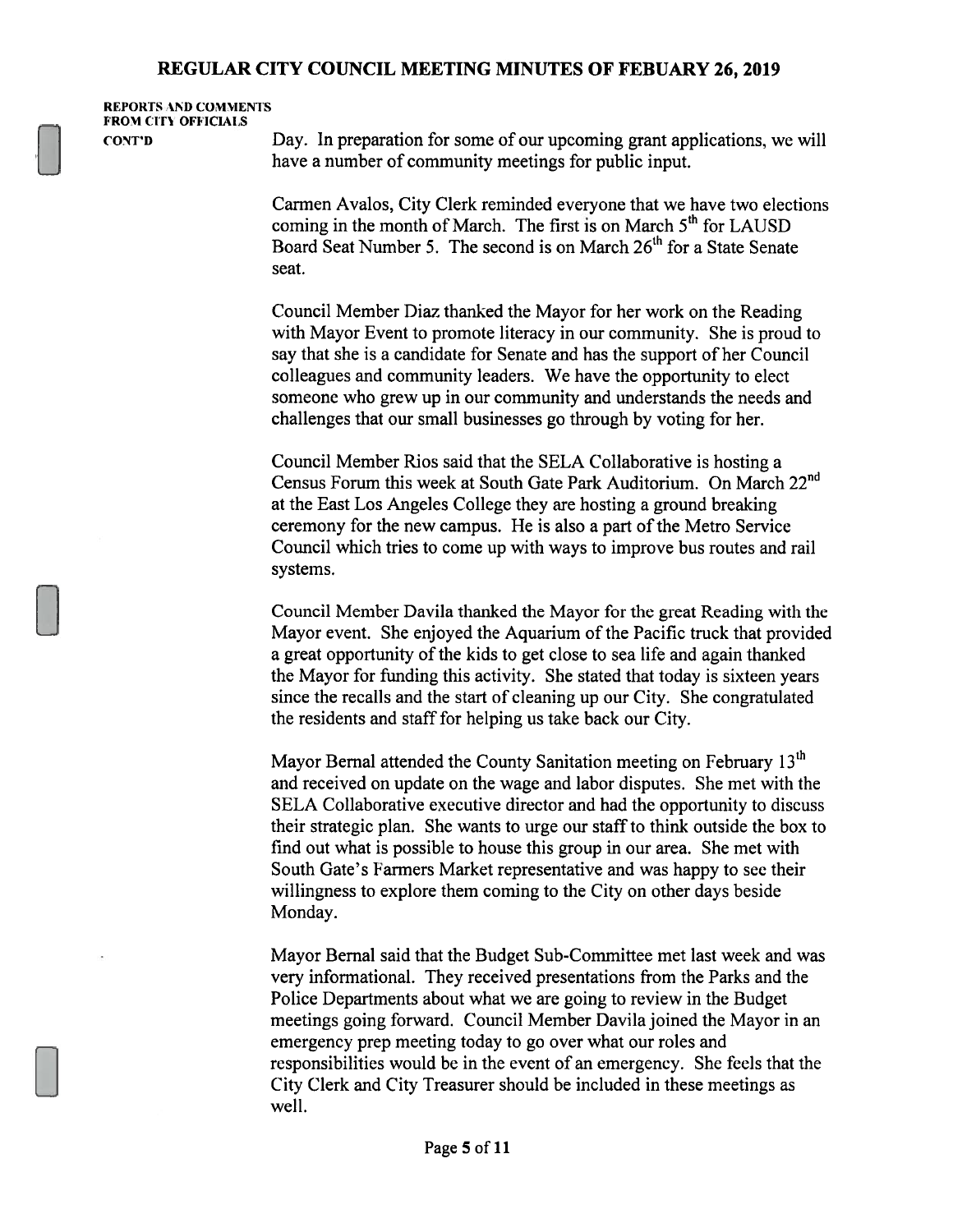REPORTS ND COMMENTS FROM CITY OFFICIALS

CONT'D Day. In preparation for some of our upcoming grant applications, we will have a number of community meetings for public input.

> Carmen Avalos, City Clerk reminded everyone that we have two elections Carmen Avalos, City Clerk reminded everyone that we have two elec<br>coming in the month of March. The first is on March 5<sup>th</sup> for LAUSD coming in the month of March. The first is on March 5<sup>th</sup> for LAUSD<br>Board Seat Number 5. The second is on March 26<sup>th</sup> for a State Senate seat.

Council Member Diaz thanked the Mayor for her work on the Reading with Mayor Event to promote literacy in our community. She is proud to say that she is a candidate for Senate and has the support of her Council colleagues and community leaders. We have the opportunity to elect someone who grew up in our community and understands the needs and challenges that our small businesses go through by voting for her.

Council Member Rios said that the SELA Collaborative is hosting a Census Forum this week at South Gate Park Auditorium. On March 22nd at the East Los Angeles College they are hosting a ground breaking ceremony for the new campus. He is also a part of the Metro Service Council which tries to come up with ways to improve bus routes and rail systems.

Council Member Davila thanked the Mayor for the great Reading with the Mayor event. She enjoyed the Aquarium of the Pacific truck that provided a great opportunity of the kids to get close to sea life and again thanked the Mayor for funding this activity. She stated that today is sixteen years since the recalls and the start of cleaning up our City. She congratulated the residents and staff for helping us take back our City.

Mayor Bernal attended the County Sanitation meeting on February 13<sup>th</sup> and received on update on the wage and labor disputes. She met with the SELA Collaborative executive director and had the opportunity to discuss their strategic plan. She wants to urge our staffto think outside the box to find out what is possible to house this group in our area. She met with South Gate's Farmers Market representative and was happy to see their willingness to explore them coming to the City on other days beside Monday.

Mayor Bernal said that the Budget Sub-Committee met last week and was very informational. They received presentations from the Parks and the Police Departments about what we are going to review in the Budget meetings going forward. Council Member Davila joined the Mayor in an emergency prep meeting today to go over what our roles and responsibilities would be in the event of an emergency. She feels that the City Clerk and City Treasurer should be included in these meetings as well.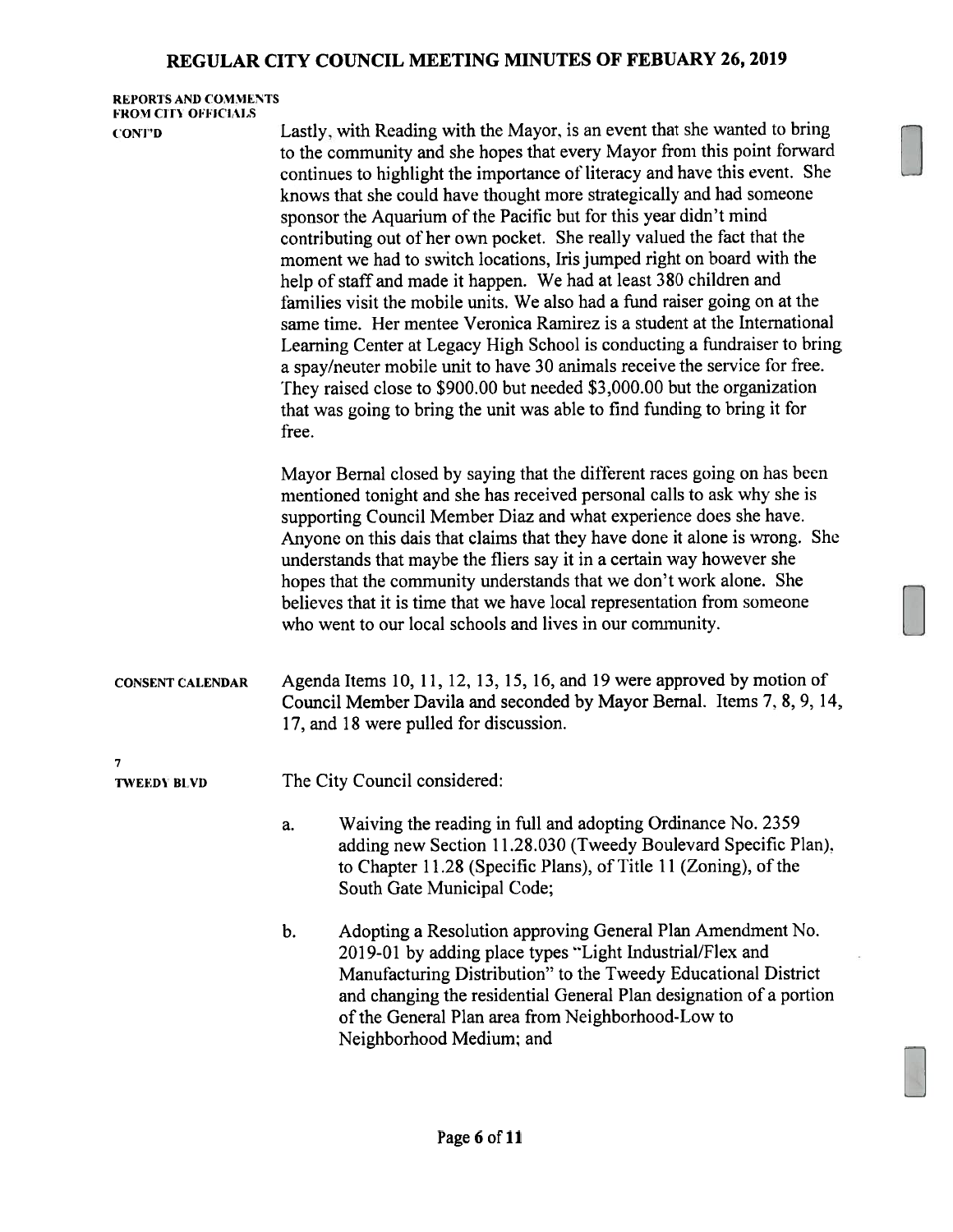#### REPORTS AND COMMENTS FROM CITY OFFICIALS

UON'ID Lastly. with Reading with the Mayor, is an event that she wanted to bring to the community and she hopes that every Mayor from this point forward continues to highlight the importance of literacy and have this event. She knows that she could have thought more strategically and had someone sponsor the Aquarium of the Pacific but for this year didn't mind contributing out of her own pocket. She really valued the fact that the moment we had to switch locations, Iris jumped right on board with the help of staff and made it happen. We had at least 380 children and families visit the mobile units. We also had a fund raiser going on at the same time. Her mentee Veronica Ramirez is a student at the International Learning Center at Legacy High School is conducting a fundraiser to bring a spay/neuter mobile unit to have 30 animals receive the service for free. They raised close to \$900.00 but needed \$3,000.00 hut the organization that was going to bring the unit was able to find funding to bring it for free. Mayor Bernal closed by saying that the different races going on has been mentioned tonight and she has received personal calls to ask why she is supporting Council Member Diaz and what experience does she have. Anyone on this dais that claims that they have done it alone is wrong. She understands that maybe the fliers say it in a certain way however she

hopes that the community understands that we don't work alone. She believes that it is time that we have local representation from someone who went to our local schools and lives in our community.

CONSENT CALENDAR Agenda Items 10, 11, 12, 13, 15, 16, and 19 were approved by motion of Council Member Davila and seconded by Mayor Bernal. Items 7. 8, 9, 14, 17, and 18 were pulled for discussion.

7

**TWEEDY BLVD** The City Council considered:

- a. Waiving the reading in full and adopting Ordinance No. 2359 adding new Section 11.28.030 (Tweedy Boulevard Specific Plan). to Chapter 11.28 (Specific Plans), of Title 11 (Zoning), of the South Gate Municipal Code;
- b. Adopting a Resolution approving General Plan Amendment No. 2019-01 by adding place types "Light Industrial/Flex and Manufacturing Distribution" to the Tweedy Educational District and changing the residential General Plan designation of a portion of the General Plan area from Neighborhood-Low to Neighborhood Medium: and

[Z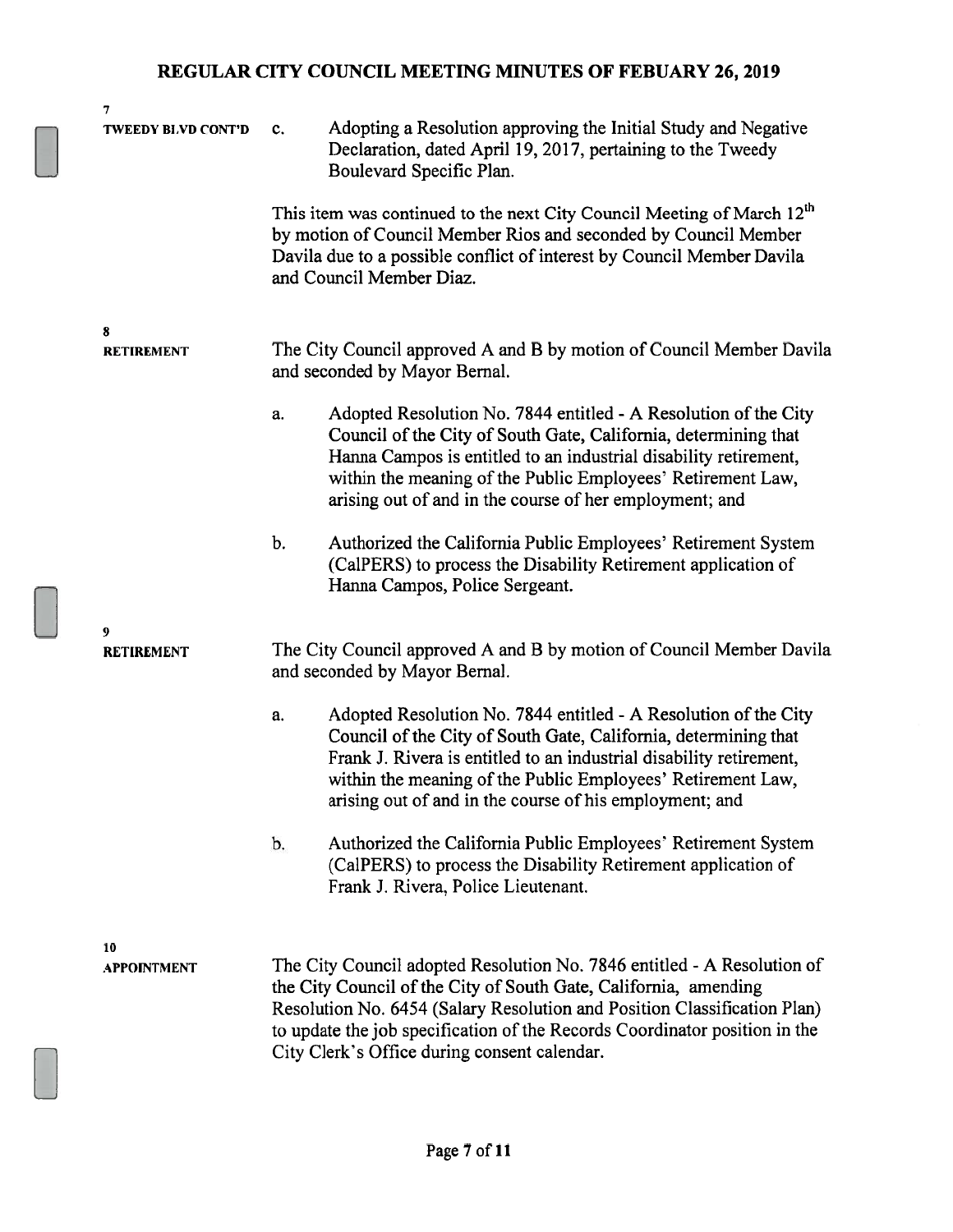| 7                         |    |                                                                                                                                                                                                                                                                                                                                                       |
|---------------------------|----|-------------------------------------------------------------------------------------------------------------------------------------------------------------------------------------------------------------------------------------------------------------------------------------------------------------------------------------------------------|
| <b>TWEEDY BLVD CONT'D</b> | c. | Adopting a Resolution approving the Initial Study and Negative<br>Declaration, dated April 19, 2017, pertaining to the Tweedy<br>Boulevard Specific Plan.                                                                                                                                                                                             |
|                           |    | This item was continued to the next City Council Meeting of March 12 <sup>th</sup><br>by motion of Council Member Rios and seconded by Council Member<br>Davila due to a possible conflict of interest by Council Member Davila<br>and Council Member Diaz.                                                                                           |
| 8<br><b>RETIREMENT</b>    |    | The City Council approved A and B by motion of Council Member Davila<br>and seconded by Mayor Bernal.                                                                                                                                                                                                                                                 |
|                           | a. | Adopted Resolution No. 7844 entitled - A Resolution of the City<br>Council of the City of South Gate, California, determining that<br>Hanna Campos is entitled to an industrial disability retirement,<br>within the meaning of the Public Employees' Retirement Law,<br>arising out of and in the course of her employment; and                      |
|                           | b. | Authorized the California Public Employees' Retirement System<br>(CalPERS) to process the Disability Retirement application of<br>Hanna Campos, Police Sergeant.                                                                                                                                                                                      |
| 9<br><b>RETIREMENT</b>    |    | The City Council approved A and B by motion of Council Member Davila<br>and seconded by Mayor Bernal.                                                                                                                                                                                                                                                 |
|                           | a. | Adopted Resolution No. 7844 entitled - A Resolution of the City<br>Council of the City of South Gate, California, determining that<br>Frank J. Rivera is entitled to an industrial disability retirement,<br>within the meaning of the Public Employees' Retirement Law,<br>arising out of and in the course of his employment; and                   |
|                           | b. | Authorized the California Public Employees' Retirement System<br>(CalPERS) to process the Disability Retirement application of<br>Frank J. Rivera, Police Lieutenant.                                                                                                                                                                                 |
| 10<br><b>APPOINTMENT</b>  |    | The City Council adopted Resolution No. 7846 entitled - A Resolution of<br>the City Council of the City of South Gate, California, amending<br>Resolution No. 6454 (Salary Resolution and Position Classification Plan)<br>to update the job specification of the Records Coordinator position in the<br>City Clerk's Office during consent calendar. |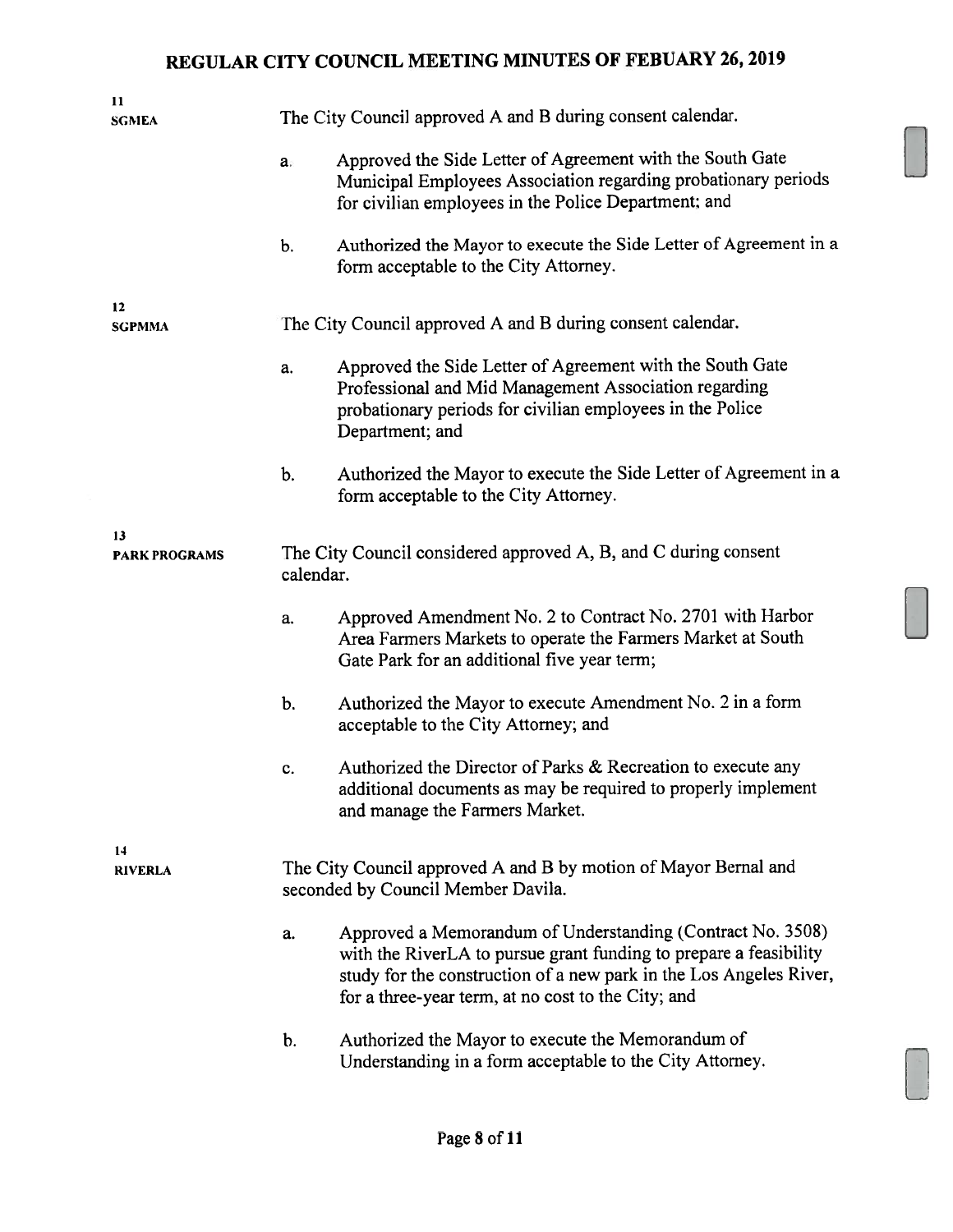| 11<br><b>SGMEA</b>         |               | The City Council approved A and B during consent calendar.                                                                                                                                                                                                  |
|----------------------------|---------------|-------------------------------------------------------------------------------------------------------------------------------------------------------------------------------------------------------------------------------------------------------------|
|                            | a.            | Approved the Side Letter of Agreement with the South Gate<br>Municipal Employees Association regarding probationary periods<br>for civilian employees in the Police Department; and                                                                         |
|                            | $\mathbf b$ . | Authorized the Mayor to execute the Side Letter of Agreement in a<br>form acceptable to the City Attorney.                                                                                                                                                  |
| 12<br><b>SGPMMA</b>        |               | The City Council approved A and B during consent calendar.                                                                                                                                                                                                  |
|                            | a.            | Approved the Side Letter of Agreement with the South Gate<br>Professional and Mid Management Association regarding<br>probationary periods for civilian employees in the Police<br>Department; and                                                          |
|                            | b.            | Authorized the Mayor to execute the Side Letter of Agreement in a<br>form acceptable to the City Attorney.                                                                                                                                                  |
| 13<br><b>PARK PROGRAMS</b> | calendar.     | The City Council considered approved A, B, and C during consent                                                                                                                                                                                             |
|                            | a.            | Approved Amendment No. 2 to Contract No. 2701 with Harbor<br>Area Farmers Markets to operate the Farmers Market at South<br>Gate Park for an additional five year term;                                                                                     |
|                            | b.            | Authorized the Mayor to execute Amendment No. 2 in a form<br>acceptable to the City Attorney; and                                                                                                                                                           |
|                            | c.            | Authorized the Director of Parks & Recreation to execute any<br>additional documents as may be required to properly implement<br>and manage the Farmers Market.                                                                                             |
| 14<br><b>RIVERLA</b>       |               | The City Council approved A and B by motion of Mayor Bernal and<br>seconded by Council Member Davila.                                                                                                                                                       |
|                            | a.            | Approved a Memorandum of Understanding (Contract No. 3508)<br>with the RiverLA to pursue grant funding to prepare a feasibility<br>study for the construction of a new park in the Los Angeles River,<br>for a three-year term, at no cost to the City; and |
|                            | $\mathbf b$ . | Authorized the Mayor to execute the Memorandum of<br>Understanding in a form acceptable to the City Attorney.                                                                                                                                               |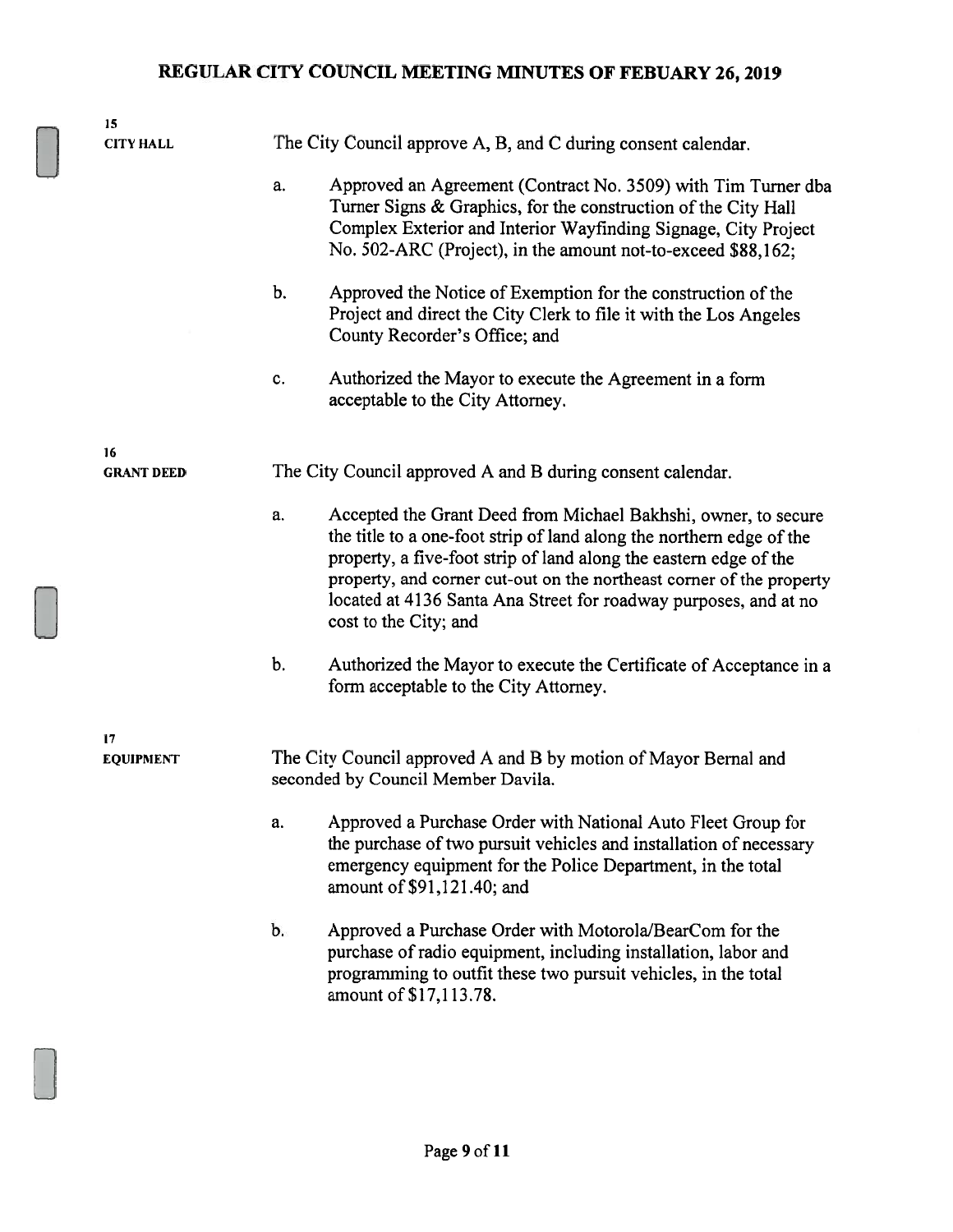| 15                |    |                                                                                                                                                                                                                                                                                                                                                                                  |
|-------------------|----|----------------------------------------------------------------------------------------------------------------------------------------------------------------------------------------------------------------------------------------------------------------------------------------------------------------------------------------------------------------------------------|
| <b>CITY HALL</b>  |    | The City Council approve A, B, and C during consent calendar.                                                                                                                                                                                                                                                                                                                    |
|                   | a. | Approved an Agreement (Contract No. 3509) with Tim Turner dba<br>Turner Signs & Graphics, for the construction of the City Hall<br>Complex Exterior and Interior Wayfinding Signage, City Project<br>No. 502-ARC (Project), in the amount not-to-exceed \$88,162;                                                                                                                |
|                   | b. | Approved the Notice of Exemption for the construction of the<br>Project and direct the City Clerk to file it with the Los Angeles<br>County Recorder's Office; and                                                                                                                                                                                                               |
|                   | c. | Authorized the Mayor to execute the Agreement in a form<br>acceptable to the City Attorney.                                                                                                                                                                                                                                                                                      |
| 16                |    |                                                                                                                                                                                                                                                                                                                                                                                  |
| <b>GRANT DEED</b> |    | The City Council approved A and B during consent calendar.                                                                                                                                                                                                                                                                                                                       |
|                   | a. | Accepted the Grant Deed from Michael Bakhshi, owner, to secure<br>the title to a one-foot strip of land along the northern edge of the<br>property, a five-foot strip of land along the eastern edge of the<br>property, and corner cut-out on the northeast corner of the property<br>located at 4136 Santa Ana Street for roadway purposes, and at no<br>cost to the City; and |
|                   | b. | Authorized the Mayor to execute the Certificate of Acceptance in a<br>form acceptable to the City Attorney.                                                                                                                                                                                                                                                                      |
| 17                |    |                                                                                                                                                                                                                                                                                                                                                                                  |
| <b>EQUIPMENT</b>  |    | The City Council approved A and B by motion of Mayor Bernal and<br>seconded by Council Member Davila.                                                                                                                                                                                                                                                                            |
|                   | a. | Approved a Purchase Order with National Auto Fleet Group for<br>the purchase of two pursuit vehicles and installation of necessary<br>emergency equipment for the Police Department, in the total<br>amount of \$91,121.40; and                                                                                                                                                  |
|                   | b. | Approved a Purchase Order with Motorola/BearCom for the<br>purchase of radio equipment, including installation, labor and<br>programming to outfit these two pursuit vehicles, in the total<br>amount of \$17,113.78.                                                                                                                                                            |
|                   |    |                                                                                                                                                                                                                                                                                                                                                                                  |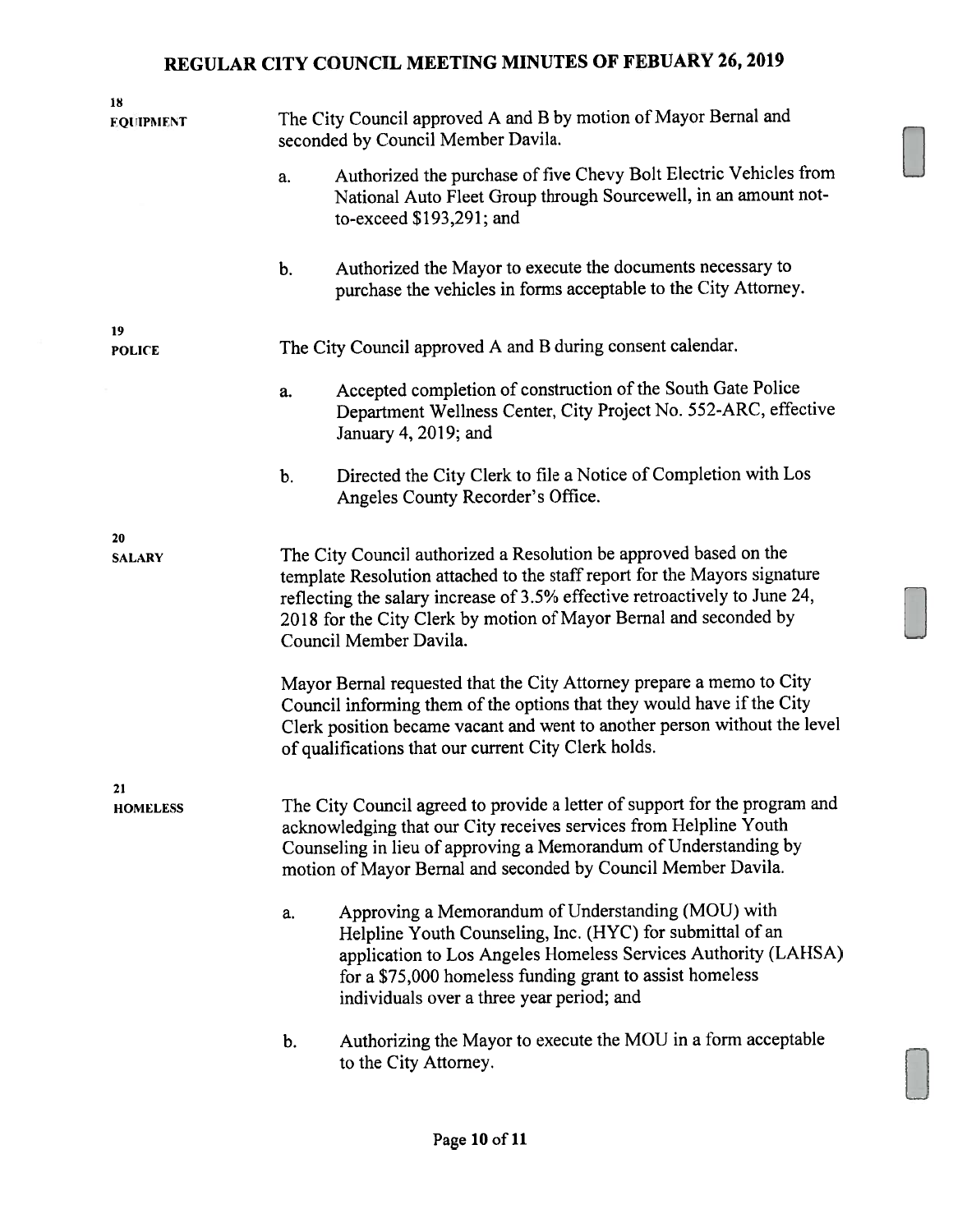| 18                  |                                                                                                                                                                                                                                                                                                                             |                                                                                                                                                                                                                                                                                            |
|---------------------|-----------------------------------------------------------------------------------------------------------------------------------------------------------------------------------------------------------------------------------------------------------------------------------------------------------------------------|--------------------------------------------------------------------------------------------------------------------------------------------------------------------------------------------------------------------------------------------------------------------------------------------|
| <b>EQUIPMENT</b>    | The City Council approved A and B by motion of Mayor Bernal and<br>seconded by Council Member Davila.                                                                                                                                                                                                                       |                                                                                                                                                                                                                                                                                            |
|                     | a.                                                                                                                                                                                                                                                                                                                          | Authorized the purchase of five Chevy Bolt Electric Vehicles from<br>National Auto Fleet Group through Sourcewell, in an amount not-<br>to-exceed \$193,291; and                                                                                                                           |
|                     | b.                                                                                                                                                                                                                                                                                                                          | Authorized the Mayor to execute the documents necessary to<br>purchase the vehicles in forms acceptable to the City Attorney.                                                                                                                                                              |
| 19<br><b>POLICE</b> | The City Council approved A and B during consent calendar.                                                                                                                                                                                                                                                                  |                                                                                                                                                                                                                                                                                            |
|                     | a.                                                                                                                                                                                                                                                                                                                          | Accepted completion of construction of the South Gate Police<br>Department Wellness Center, City Project No. 552-ARC, effective<br>January 4, 2019; and                                                                                                                                    |
|                     | b.                                                                                                                                                                                                                                                                                                                          | Directed the City Clerk to file a Notice of Completion with Los<br>Angeles County Recorder's Office.                                                                                                                                                                                       |
| 20                  |                                                                                                                                                                                                                                                                                                                             |                                                                                                                                                                                                                                                                                            |
| <b>SALARY</b>       | The City Council authorized a Resolution be approved based on the<br>template Resolution attached to the staff report for the Mayors signature<br>reflecting the salary increase of 3.5% effective retroactively to June 24,<br>2018 for the City Clerk by motion of Mayor Bernal and seconded by<br>Council Member Davila. |                                                                                                                                                                                                                                                                                            |
|                     |                                                                                                                                                                                                                                                                                                                             | Mayor Bernal requested that the City Attorney prepare a memo to City<br>Council informing them of the options that they would have if the City<br>Clerk position became vacant and went to another person without the level<br>of qualifications that our current City Clerk holds.        |
| <b>HOMELESS</b>     | The City Council agreed to provide a letter of support for the program and<br>acknowledging that our City receives services from Helpline Youth<br>Counseling in lieu of approving a Memorandum of Understanding by<br>motion of Mayor Bernal and seconded by Council Member Davila.                                        |                                                                                                                                                                                                                                                                                            |
|                     | a.                                                                                                                                                                                                                                                                                                                          | Approving a Memorandum of Understanding (MOU) with<br>Helpline Youth Counseling, Inc. (HYC) for submittal of an<br>application to Los Angeles Homeless Services Authority (LAHSA)<br>for a \$75,000 homeless funding grant to assist homeless<br>individuals over a three year period; and |
|                     | b.                                                                                                                                                                                                                                                                                                                          | Authorizing the Mayor to execute the MOU in a form acceptable<br>to the City Attorney.                                                                                                                                                                                                     |